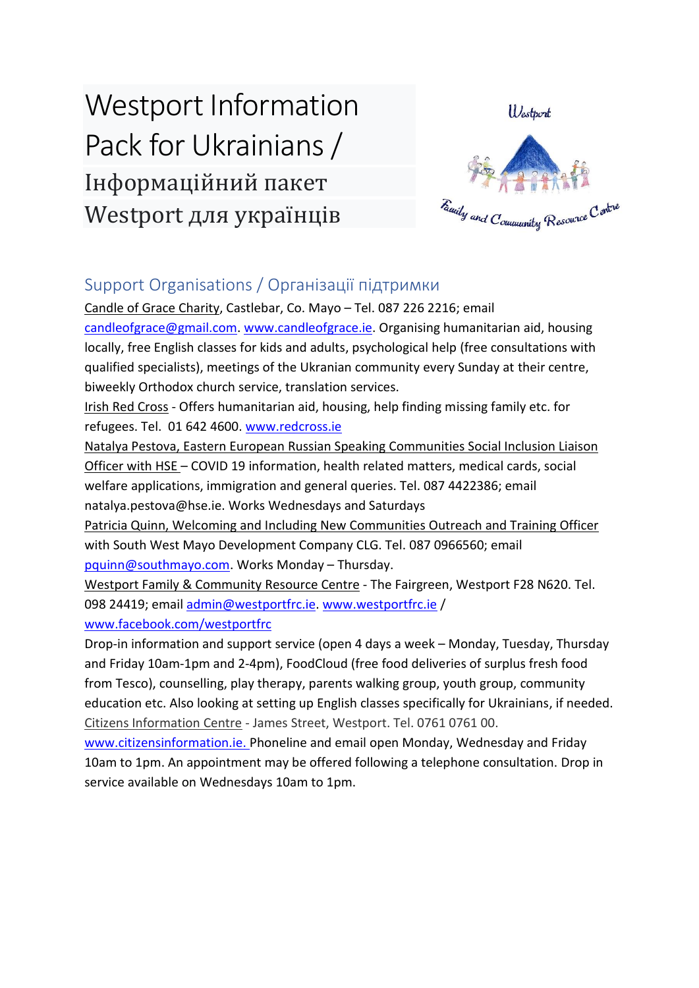# Westport Information Pack for Ukrainians/ Інформаційний пакет Westport для українців  $\overline{a}$



## Support Organisations / Організації підтримки

Candle of Grace Charity, Castlebar, Co. Mayo – Tel. 087 226 2216; email [candleofgrace@gmail.com.](mailto:candleofgrace@gmail.com) [www.candleofgrace.ie.](http://www.candleofgrace.ie/) Organising humanitarian aid, housing locally, free English classes for kids and adults, psychological help (free consultations with qualified specialists), meetings of the Ukranian community every Sunday at their centre, biweekly Orthodox church service, translation services.

Irish Red Cross - Offers humanitarian aid, housing, help finding missing family etc. for refugees. Tel. 01 642 4600. [www.redcross.ie](http://www.redcross.ie/)

Natalya Pestova, Eastern European Russian Speaking Communities Social Inclusion Liaison Officer with HSE – COVID 19 information, health related matters, medical cards, social welfare applications, immigration and general queries. Tel. 087 4422386; email natalya.pestova@hse.ie. Works Wednesdays and Saturdays

Patricia Quinn, Welcoming and Including New Communities Outreach and Training Officer with South West Mayo Development Company CLG. Tel. 087 0966560; email [pquinn@southmayo.com.](mailto:pquinn@southmayo.com) Works Monday – Thursday.

Westport Family & Community Resource Centre - The Fairgreen, Westport F28 N620. Tel. 098 24419; email [admin@westportfrc.ie.](mailto:admin@westportfrc.ie) [www.westportfrc.ie](http://www.westportfrc.ie/) / [www.facebook.com/westportfrc](http://www.facebook.com/westportfrc)

Drop-in information and support service (open 4 days a week – Monday, Tuesday, Thursday and Friday 10am-1pm and 2-4pm), FoodCloud (free food deliveries of surplus fresh food from Tesco), counselling, play therapy, parents walking group, youth group, community education etc. Also looking at setting up English classes specifically for Ukrainians, if needed. Citizens Information Centre - James Street, Westport. Tel. 0761 0761 00.

[www.citizensinformation.ie.](http://www.citizensinformation.ie/) Phoneline and email open Monday, Wednesday and Friday 10am to 1pm. An appointment may be offered following a telephone consultation. Drop in service available on Wednesdays 10am to 1pm.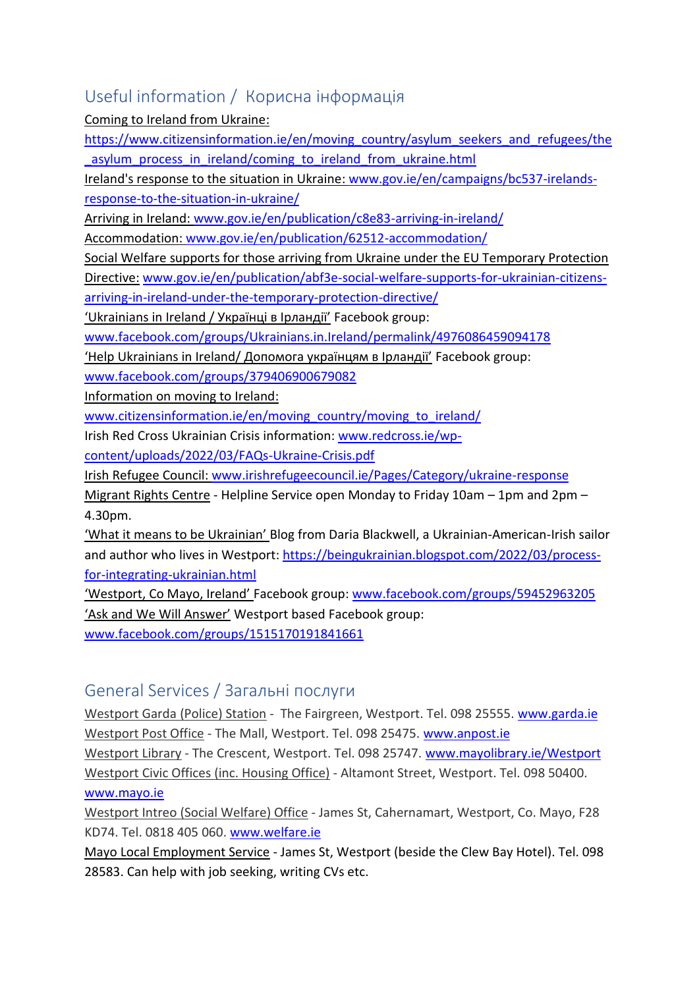## Useful information / Корисна інформація

Coming to Ireland from Ukraine:

[https://www.citizensinformation.ie/en/moving\\_country/asylum\\_seekers\\_and\\_refugees/the](https://www.citizensinformation.ie/en/moving_country/asylum_seekers_and_refugees/the_asylum_process_in_ireland/coming_to_ireland_from_ukraine.html) asylum process in ireland/coming to ireland from ukraine.html

Ireland's response to the situation in Ukraine: [www.gov.ie/en/campaigns/bc537-irelands](http://www.gov.ie/en/campaigns/bc537-irelands-response-to-the-situation-in-ukraine/)[response-to-the-situation-in-ukraine/](http://www.gov.ie/en/campaigns/bc537-irelands-response-to-the-situation-in-ukraine/)

Arriving in Ireland: [www.gov.ie/en/publication/c8e83-arriving-in-ireland/](http://www.gov.ie/en/publication/c8e83-arriving-in-ireland/)

Accommodation: [www.gov.ie/en/publication/62512-accommodation/](http://www.gov.ie/en/publication/62512-accommodation/)

Social Welfare supports for those arriving from Ukraine under the EU Temporary Protection

Directive: [www.gov.ie/en/publication/abf3e-social-welfare-supports-for-ukrainian-citizens-](http://www.gov.ie/en/publication/abf3e-social-welfare-supports-for-ukrainian-citizens-arriving-in-ireland-under-the-temporary-protection-directive/)

[arriving-in-ireland-under-the-temporary-protection-directive/](http://www.gov.ie/en/publication/abf3e-social-welfare-supports-for-ukrainian-citizens-arriving-in-ireland-under-the-temporary-protection-directive/)

'Ukrainians in Ireland / Українці в Ірландії' Facebook group:

[www.facebook.com/groups/Ukrainians.in.Ireland/permalink/4976086459094178](http://www.facebook.com/groups/Ukrainians.in.Ireland/permalink/4976086459094178)

'Help Ukrainians in Ireland/ Допомога українцям в Ірландії' Facebook group: [www.facebook.com/groups/379406900679082](http://www.facebook.com/groups/379406900679082)

Information on moving to Ireland:

[www.citizensinformation.ie/en/moving\\_country/moving\\_to\\_ireland/](http://www.citizensinformation.ie/en/moving_country/moving_to_ireland/)

Irish Red Cross Ukrainian Crisis information: [www.redcross.ie/wp-](http://www.redcross.ie/wp-content/uploads/2022/03/FAQs-Ukraine-Crisis.pdf)

[content/uploads/2022/03/FAQs-Ukraine-Crisis.pdf](http://www.redcross.ie/wp-content/uploads/2022/03/FAQs-Ukraine-Crisis.pdf)

Irish Refugee Council: [www.irishrefugeecouncil.ie/Pages/Category/ukraine-response](http://www.irishrefugeecouncil.ie/Pages/Category/ukraine-response)

Migrant Rights Centre - Helpline Service open Monday to Friday 10am – 1pm and 2pm – 4.30pm.

'What it means to be Ukrainian' Blog from Daria Blackwell, a Ukrainian-American-Irish sailor and author who lives in Westport: [https://beingukrainian.blogspot.com/2022/03/process](https://beingukrainian.blogspot.com/2022/03/process-for-integrating-ukrainian.html)[for-integrating-ukrainian.html](https://beingukrainian.blogspot.com/2022/03/process-for-integrating-ukrainian.html)

'Westport, Co Mayo, Ireland' Facebook group: [www.facebook.com/groups/59452963205](http://www.facebook.com/groups/59452963205) 'Ask and We Will Answer' Westport based Facebook group: [www.facebook.com/groups/1515170191841661](http://www.facebook.com/groups/1515170191841661)

## General Services / Загальні послуги

Westport Garda (Police) Station - The Fairgreen, Westport. Tel. 098 25555. [www.garda.ie](http://www.garda.ie/) Westport Post Office - The Mall, Westport. Tel. 098 25475. [www.anpost.ie](http://www.anpost.ie/)  Westport Library - The Crescent, Westport. Tel. 098 25747. [www.mayolibrary.ie/Westport](http://www.mayolibrary.ie/en/FindABranch/Westport/) Westport Civic Offices (inc. Housing Office) - Altamont Street, Westport. Tel. 098 50400. [www.mayo.ie](http://www.mayo.ie/)

Westport Intreo (Social Welfare) Office - James St, Cahernamart, Westport, Co. Mayo, F28 KD74. Tel. 0818 405 060. [www.welfare.ie](http://www.welfare.ie/)

Mayo Local Employment Service - James St, Westport (beside the Clew Bay Hotel). Tel. 098 28583. Can help with job seeking, writing CVs etc.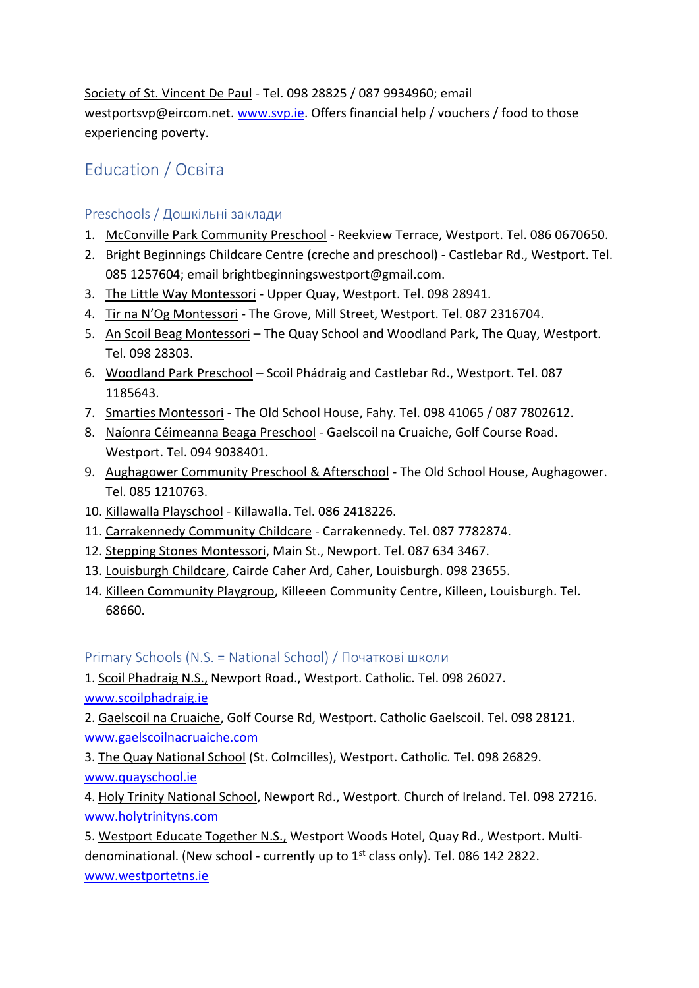Society of St. Vincent De Paul - Tel. 098 28825 / 087 9934960; email westportsvp@eircom.net. [www.svp.ie.](http://www.svp.ie/) Offers financial help / vouchers / food to those experiencing poverty.

# Education / Освіта

#### Preschools / Дошкільні заклади

- 1. McConville Park Community Preschool Reekview Terrace, Westport. Tel. 086 0670650.
- 2. Bright Beginnings Childcare Centre (creche and preschool) Castlebar Rd., Westport. Tel. 085 1257604; email brightbeginningswestport@gmail.com.
- 3. The Little Way Montessori Upper Quay, Westport. Tel. 098 28941.
- 4. Tir na N'Og Montessori The Grove, Mill Street, Westport. Tel. 087 2316704.
- 5. An Scoil Beag Montessori The Quay School and Woodland Park, The Quay, Westport. Tel. 098 28303.
- 6. Woodland Park Preschool Scoil Phádraig and Castlebar Rd., Westport. Tel. 087 1185643.
- 7. Smarties Montessori The Old School House, Fahy. Tel. 098 41065 / 087 7802612.
- 8. Naíonra Céimeanna Beaga Preschool Gaelscoil na Cruaiche, Golf Course Road. Westport. Tel. 094 9038401.
- 9. Aughagower Community Preschool & Afterschool The Old School House, Aughagower. Tel. 085 1210763.
- 10. Killawalla Playschool Killawalla. Tel. 086 2418226.
- 11. Carrakennedy Community Childcare Carrakennedy. Tel. 087 7782874.
- 12. Stepping Stones Montessori, Main St., Newport. Tel. 087 634 3467.
- 13. Louisburgh Childcare, Cairde Caher Ard, Caher, Louisburgh. 098 23655.
- 14. Killeen Community Playgroup, Killeeen Community Centre, Killeen, Louisburgh. Tel. 68660.

Primary Schools (N.S. = National School) / Початкові школи

- 1. Scoil Phadraig N.S., Newport Road., Westport. Catholic. Tel. 098 26027.
- [www.scoilphadraig.ie](http://www.scoilphadraig.ie/)

2. Gaelscoil na Cruaiche, Golf Course Rd, Westport. Catholic Gaelscoil. Tel. 098 28121. [www.gaelscoilnacruaiche.com](http://www.gaelscoilnacruaiche.com/)

3. The Quay National School (St. Colmcilles), Westport. Catholic. Tel. 098 26829. [www.quayschool.ie](http://www.quayschool.ie/)

4. Holy Trinity National School, Newport Rd., Westport. Church of Ireland. Tel. 098 27216. [www.holytrinityns.com](http://www.holytrinityns.com/)

5. Westport Educate Together N.S., Westport Woods Hotel, Quay Rd., Westport. Multidenominational. (New school - currently up to  $1<sup>st</sup>$  class only). Tel. 086 142 2822. [www.westportetns.ie](http://www.westportetns.ie/)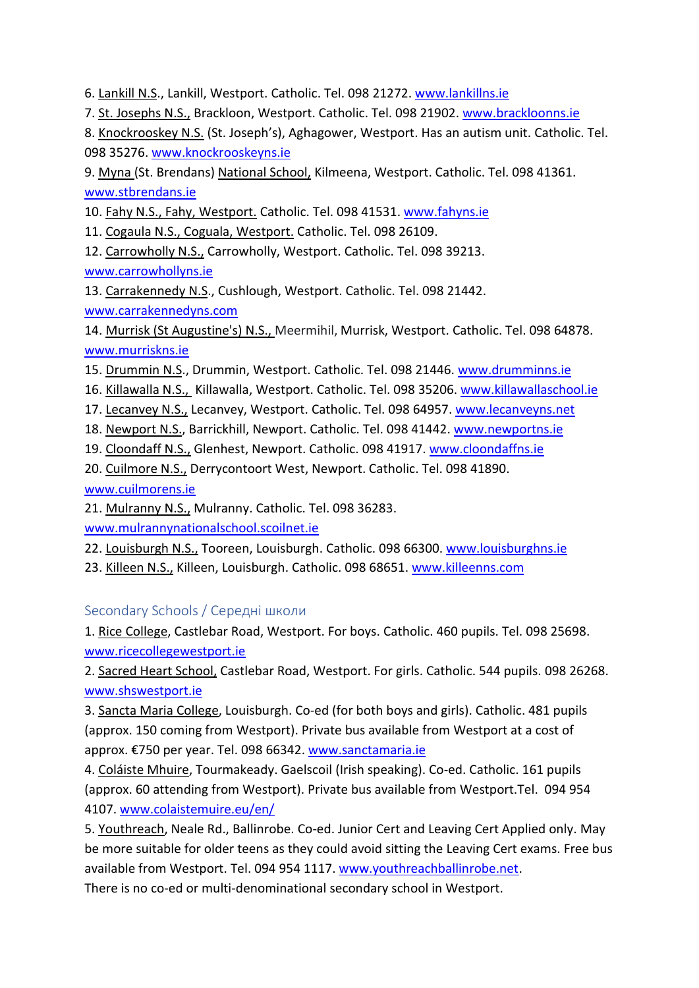6. Lankill N.S., Lankill, Westport. Catholic. Tel. 098 21272. [www.lankillns.ie](http://www.lankillns.ie/)

7. St. Josephs N.S., Brackloon, Westport. Catholic. Tel. 098 21902. [www.brackloonns.ie](http://www.brackloonns.ie/)

8. Knockrooskey N.S. (St. Joseph's), Aghagower, Westport. Has an autism unit. Catholic. Tel. 098 35276. [www.knockrooskeyns.ie](http://www.knockrooskeyns.ie/)

9. Myna (St. Brendans) National School, Kilmeena, Westport. Catholic. Tel. 098 41361. [www.stbrendans.ie](http://www.stbrendans.ie/)

10. Fahy N.S., Fahy, Westport. Catholic. Tel. 098 41531. [www.fahyns.ie](http://www.fahyns.ie/)

11. Cogaula N.S., Coguala, Westport. Catholic. Tel. 098 26109.

12. Carrowholly N.S., Carrowholly, Westport. Catholic. Tel. 098 39213. [www.carrowhollyns.ie](http://www.carrowhollyns.ie/)

13. Carrakennedy N.S., Cushlough, Westport. Catholic. Tel. 098 21442. [www.carrakennedyns.com](http://www.carrakennedyns.com/)

14. Murrisk (St Augustine's) N.S., Meermihil, Murrisk, Westport. Catholic. Tel. 098 64878. [www.murriskns.ie](http://www.murriskns.ie/)

- 15. Drummin N.S., Drummin, Westport. Catholic. Tel. 098 21446. [www.drumminns.ie](http://www.drumminns.ie/)
- 16. Killawalla N.S., Killawalla, Westport. Catholic. Tel. 098 35206. [www.killawallaschool.ie](http://www.killawallaschool.ie/)
- 17. Lecanvey N.S., Lecanvey, Westport. Catholic. Tel. 098 64957. [www.lecanveyns.net](http://www.lecanveyns.net/)
- 18. Newport N.S., Barrickhill, Newport. Catholic. Tel. 098 41442. [www.newportns.ie](http://www.newportns.ie/)
- 19. Cloondaff N.S., Glenhest, Newport. Catholic. 098 41917. [www.cloondaffns.ie](http://www.cloondaffns.ie/)
- 20. Cuilmore N.S., Derrycontoort West, Newport. Catholic. Tel. 098 41890.

[www.cuilmorens.ie](http://www.cuilmorens.ie/)

21. Mulranny N.S., Mulranny. Catholic. Tel. 098 36283.

[www.mulrannynationalschool.scoilnet.ie](http://www.mulrannynationalschool.scoilnet.ie/)

22. Louisburgh N.S., Tooreen, Louisburgh. Catholic. 098 66300. [www.louisburghns.ie](http://www.louisburghns.ie/)

23. Killeen N.S., Killeen, Louisburgh. Catholic. 098 68651[. www.killeenns.com](http://www.killeenns.com/)

#### Secondary Schools / Середні школи

1. Rice College, Castlebar Road, Westport. For boys. Catholic. 460 pupils. Tel. 098 25698. [www.ricecollegewestport.ie](http://www.ricecollegewestport.ie/)

2. Sacred Heart School, Castlebar Road, Westport. For girls. Catholic. 544 pupils. 098 26268. [www.shswestport.ie](http://www.shswestport.ie/)

3. Sancta Maria College, Louisburgh. Co-ed (for both boys and girls). Catholic. 481 pupils (approx. 150 coming from Westport). Private bus available from Westport at a cost of approx. €750 per year. Tel. 098 66342. [www.sanctamaria.ie](http://www.sanctamaria.ie/)

4. Coláiste Mhuire, Tourmakeady. Gaelscoil (Irish speaking). Co-ed. Catholic. 161 pupils (approx. 60 attending from Westport). Private bus available from Westport.Tel. 094 954 4107. [www.colaistemuire.eu/en/](http://www.colaistemuire.eu/en/)

5. Youthreach, Neale Rd., Ballinrobe. Co-ed. Junior Cert and Leaving Cert Applied only. May be more suitable for older teens as they could avoid sitting the Leaving Cert exams. Free bus available from Westport. Tel. 094 954 1117. [www.youthreachballinrobe.net.](http://www.youthreachballinrobe.net/)

There is no co-ed or multi-denominational secondary school in Westport.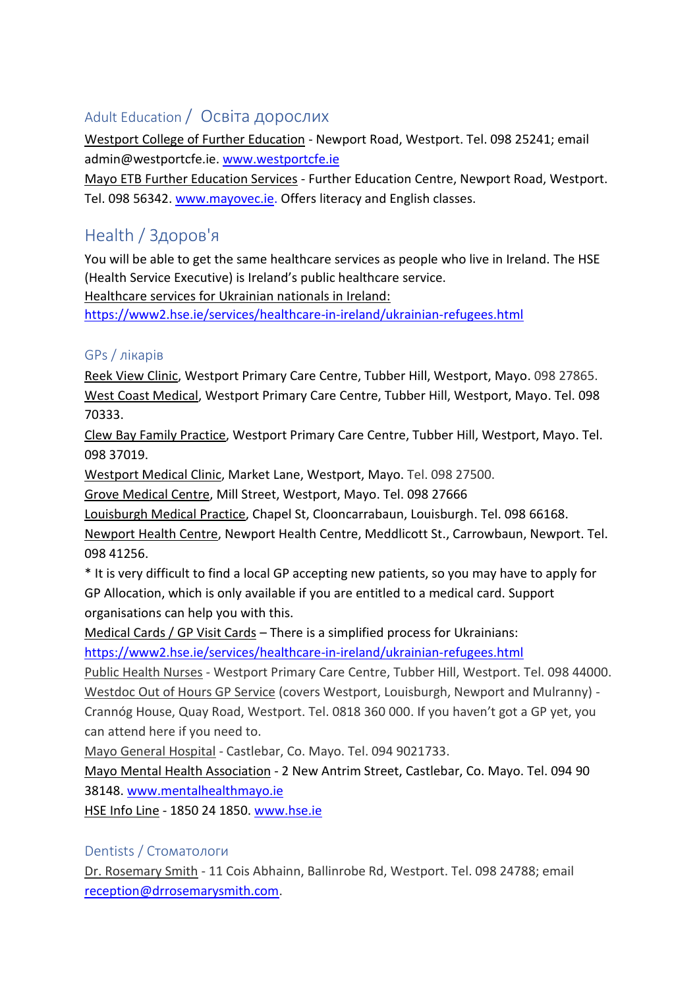### Adult Education / Освіта дорослих

Westport College of Further Education - Newport Road, Westport. Tel. 098 25241; email admin@westportcfe.ie[. www.westportcfe.ie](http://www.westportcfe.ie/)

Mayo ETB Further Education Services - Further Education Centre, Newport Road, Westport. Tel. 098 56342. [www.mayovec.ie.](http://www.mayovec.ie/) Offers literacy and English classes.

## Health / Здоров'я

You will be able to get the same healthcare services as people who live in Ireland. The HSE (Health Service Executive) is Ireland's public healthcare service.

Healthcare services for Ukrainian nationals in Ireland:

<https://www2.hse.ie/services/healthcare-in-ireland/ukrainian-refugees.html>

#### GPs / лікарів

Reek View Clinic, Westport Primary Care Centre, Tubber Hill, Westport, Mayo. 098 27865. West Coast Medical, Westport Primary Care Centre, Tubber Hill, Westport, Mayo. Tel. 098 70333.

Clew Bay Family Practice, Westport Primary Care Centre, Tubber Hill, Westport, Mayo. Tel. 098 37019.

Westport Medical Clinic, Market Lane, Westport, Mayo. Tel. 098 27500.

Grove Medical Centre, Mill Street, Westport, Mayo. Tel. 098 27666

Louisburgh Medical Practice, Chapel St, Clooncarrabaun, Louisburgh. Tel. 098 66168.

Newport Health Centre, Newport Health Centre, Meddlicott St., Carrowbaun, Newport. Tel. 098 41256.

\* It is very difficult to find a local GP accepting new patients, so you may have to apply for GP Allocation, which is only available if you are entitled to a medical card. Support organisations can help you with this.

Medical Cards / GP Visit Cards – There is a simplified process for Ukrainians:

[https://www2.hse.ie/services/healthcare-in-ireland/ukrainian-refugees.html](https://eur06.safelinks.protection.outlook.com/?url=https%3A%2F%2Fscanner.topsec.com%2F%3Fd%3D2104%26r%3Dshow%26t%3D2df8eaf7445e12419c471a0f5108cf69158ee4a6%26u%3Dhttps%253A%252F%252Fwww2.hse.ie%252Fservices%252Fhealthcare-in-ireland%252Fukrainian-refugees.html&data=04%7C01%7Ccoordinator%40westportfrc.ie%7Ccf52813a56a745a6b11108da127da059%7C967acbc2ed884a3b891d1c2426c11e07%7C0%7C0%7C637842628025093381%7CUnknown%7CTWFpbGZsb3d8eyJWIjoiMC4wLjAwMDAiLCJQIjoiV2luMzIiLCJBTiI6Ik1haWwiLCJXVCI6Mn0%3D%7C3000&sdata=YidutTS6i%2FEdFyYKx7fDX29njkEm%2FxORnTXQz4K7cx8%3D&reserved=0)

Public Health Nurses - Westport Primary Care Centre, Tubber Hill, Westport. Tel. 098 44000. Westdoc Out of Hours GP Service (covers Westport, Louisburgh, Newport and Mulranny) - Crannóg House, Quay Road, Westport. Tel. 0818 360 000. If you haven't got a GP yet, you can attend here if you need to.

Mayo General Hospital - Castlebar, Co. Mayo. Tel. 094 9021733.

Mayo Mental Health Association - 2 New Antrim Street, Castlebar, Co. Mayo. Tel. 094 90 38148. [www.mentalhealthmayo.ie](http://www.mentalhealthmayo.ie/)

HSE Info Line - 1850 24 1850. [www.hse.ie](http://www.hse.ie/)

#### Dentists / Стоматологи

Dr. Rosemary Smith - 11 Cois Abhainn, Ballinrobe Rd, Westport. Tel. 098 24788; email [reception@drrosemarysmith.com.](mailto:reception@drrosemarysmith.com)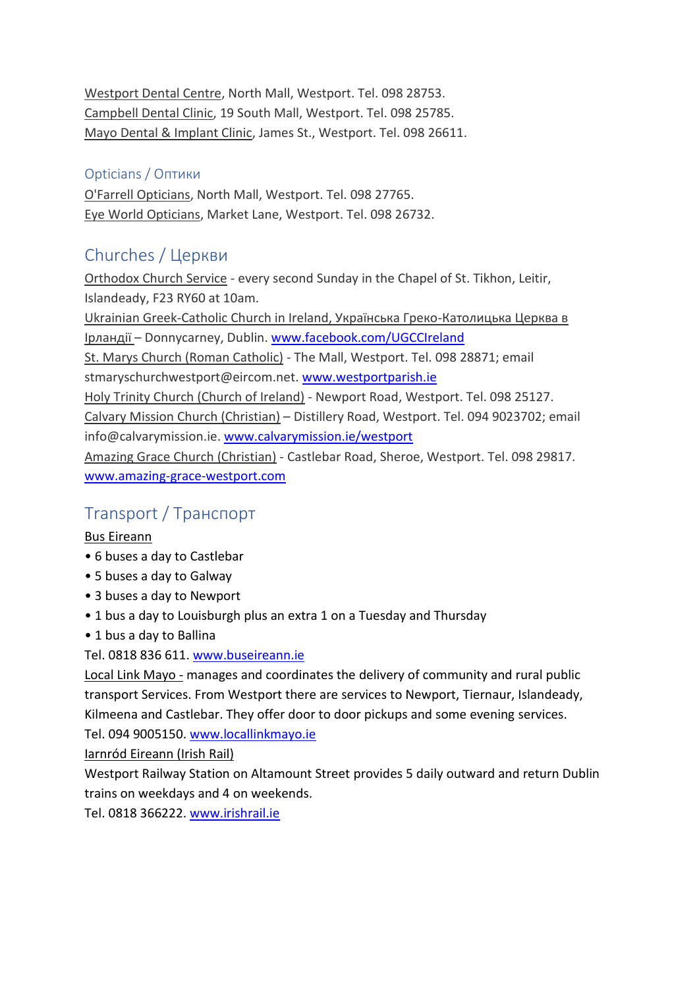Westport Dental Centre, North Mall, Westport. Tel. 098 28753. Campbell Dental Clinic, 19 South Mall, Westport. Tel. 098 25785. Mayo Dental & Implant Clinic, James St., Westport. Tel. 098 26611.

#### Opticians / Оптики

O'Farrell Opticians, North Mall, Westport. Tel. 098 27765. Eye World Opticians, Market Lane, Westport. Tel. 098 26732.

# Churches / Церкви

Orthodox Church Service - every second Sunday in the Chapel of St. Tikhon, Leitir, Islandeady, F23 RY60 at 10am.

Ukrainian Greek-Catholic Church in Ireland, Українська Греко-Католицька Церква в Ірландії – Donnycarney, Dublin. [www.facebook.com/UGCCIreland](http://www.facebook.com/UGCCIreland)

St. Marys Church (Roman Catholic) - The Mall, Westport. Tel. 098 28871; email stmaryschurchwestport@eircom.net. [www.westportparish.ie](http://www.westportparish.ie/)

Holy Trinity Church (Church of Ireland) - Newport Road, Westport. Tel. 098 25127.

Calvary Mission Church (Christian) – Distillery Road, Westport. Tel. 094 9023702; email info@calvarymission.ie[. www.calvarymission.ie/westport](http://www.calvarymission.ie/westport.htm)

Amazing Grace Church (Christian) - Castlebar Road, Sheroe, Westport. Tel. 098 29817. [www.amazing-grace-westport.com](http://www.amazing-grace-westport.com/)

## Transport / Транспорт

#### Bus Eireann

- 6 buses a day to Castlebar
- 5 buses a day to Galway
- 3 buses a day to Newport
- 1 bus a day to Louisburgh plus an extra 1 on a Tuesday and Thursday
- 1 bus a day to Ballina

#### Tel. 0818 836 611. [www.buseireann.ie](http://www.buseireann.ie/)

Local Link Mayo - manages and coordinates the delivery of community and rural public transport Services. From Westport there are services to Newport, Tiernaur, Islandeady, Kilmeena and Castlebar. They offer door to door pickups and some evening services.

Tel. 094 9005150. [www.locallinkmayo.ie](http://www.locallinkmayo.ie/)

Iarnród Eireann (Irish Rail)

Westport Railway Station on Altamount Street provides 5 daily outward and return Dublin trains on weekdays and 4 on weekends.

Tel. 0818 366222[. www.irishrail.ie](http://www.irishrail.ie/)